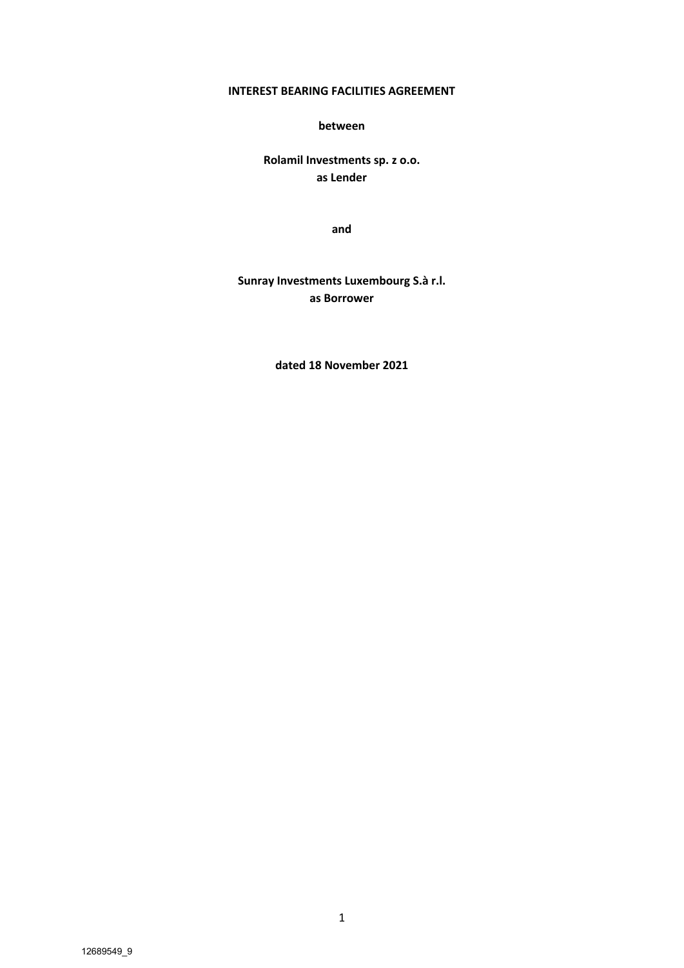## **INTEREST BEARING FACILITIES AGREEMENT**

**between**

**Rolamil Investments sp. z o.o. as Lender**

**and**

**Sunray Investments Luxembourg S.à r.l. as Borrower**

**dated 18 November 2021**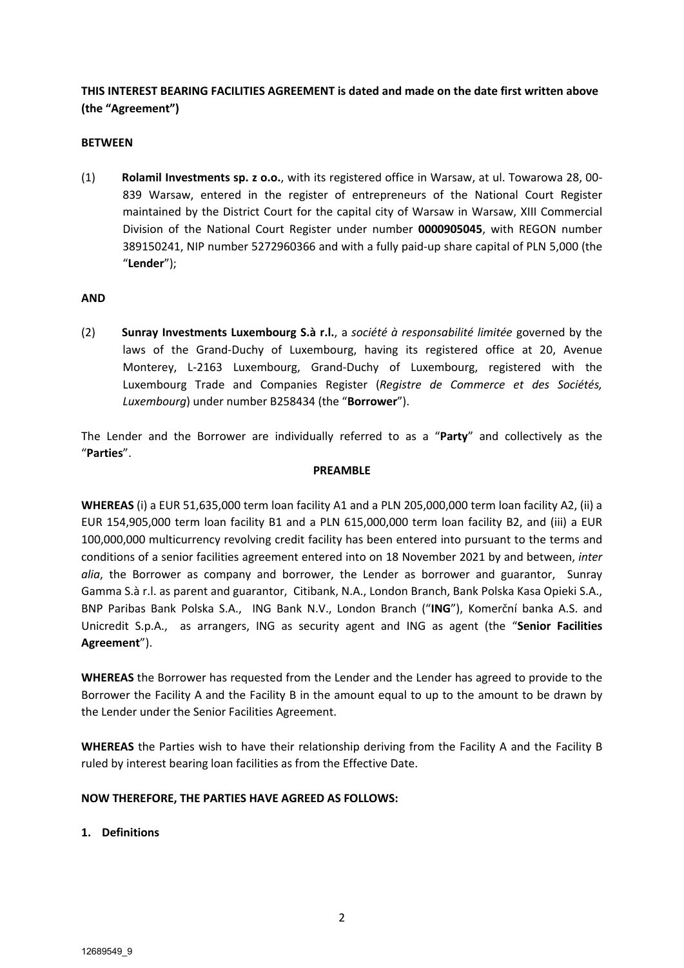**THIS INTEREST BEARING FACILITIES AGREEMENT is dated and made on the date first written above (the "Agreement")**

#### **BETWEEN**

(1) **Rolamil Investments sp. z o.o.**, with its registered office in Warsaw, at ul. Towarowa 28, 00- 839 Warsaw, entered in the register of entrepreneurs of the National Court Register maintained by the District Court for the capital city of Warsaw in Warsaw, XIII Commercial Division of the National Court Register under number **0000905045**, with REGON number 389150241, NIP number 5272960366 and with a fully paid-up share capital of PLN 5,000 (the "**Lender**");

#### **AND**

(2) **Sunray Investments Luxembourg S.à r.l.**, a *société à responsabilité limitée* governed by the laws of the Grand-Duchy of Luxembourg, having its registered office at 20, Avenue Monterey, L-2163 Luxembourg, Grand-Duchy of Luxembourg, registered with the Luxembourg Trade and Companies Register (*Registre de Commerce et des Sociétés, Luxembourg*) under number B258434 (the "**Borrower**").

The Lender and the Borrower are individually referred to as a "**Party**" and collectively as the "**Parties**".

#### **PREAMBLE**

**WHEREAS** (i) a EUR 51,635,000 term loan facility A1 and a PLN 205,000,000 term loan facility A2, (ii) a EUR 154,905,000 term loan facility B1 and a PLN 615,000,000 term loan facility B2, and (iii) a EUR 100,000,000 multicurrency revolving credit facility has been entered into pursuant to the terms and conditions of a senior facilities agreement entered into on 18 November 2021 by and between, *inter alia*, the Borrower as company and borrower, the Lender as borrower and guarantor, Sunray Gamma S.à r.l. as parent and guarantor, Citibank, N.A., London Branch, Bank Polska Kasa Opieki S.A., BNP Paribas Bank Polska S.A., ING Bank N.V., London Branch ("**ING**"), Komerční banka A.S. and Unicredit S.p.A., as arrangers, ING as security agent and ING as agent (the "**Senior Facilities Agreement**").

**WHEREAS** the Borrower has requested from the Lender and the Lender has agreed to provide to the Borrower the Facility A and the Facility B in the amount equal to up to the amount to be drawn by the Lender under the Senior Facilities Agreement.

**WHEREAS** the Parties wish to have their relationship deriving from the Facility A and the Facility B ruled by interest bearing loan facilities as from the Effective Date.

### **NOW THEREFORE, THE PARTIES HAVE AGREED AS FOLLOWS:**

#### **1. Definitions**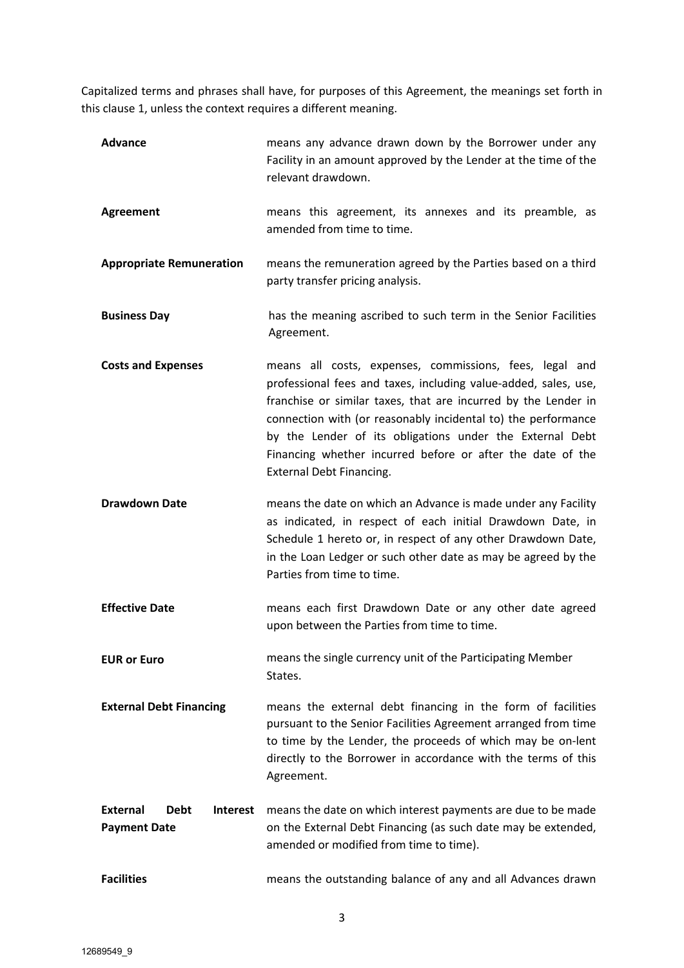Capitalized terms and phrases shall have, for purposes of this Agreement, the meanings set forth in this clause 1, unless the context requires a different meaning.

| <b>Advance</b>                                                    | means any advance drawn down by the Borrower under any<br>Facility in an amount approved by the Lender at the time of the<br>relevant drawdown.                                                                                                                                                                                                                                                                            |  |  |
|-------------------------------------------------------------------|----------------------------------------------------------------------------------------------------------------------------------------------------------------------------------------------------------------------------------------------------------------------------------------------------------------------------------------------------------------------------------------------------------------------------|--|--|
| <b>Agreement</b>                                                  | means this agreement, its annexes and its preamble, as<br>amended from time to time.                                                                                                                                                                                                                                                                                                                                       |  |  |
| <b>Appropriate Remuneration</b>                                   | means the remuneration agreed by the Parties based on a third<br>party transfer pricing analysis.                                                                                                                                                                                                                                                                                                                          |  |  |
| <b>Business Day</b>                                               | has the meaning ascribed to such term in the Senior Facilities<br>Agreement.                                                                                                                                                                                                                                                                                                                                               |  |  |
| <b>Costs and Expenses</b>                                         | means all costs, expenses, commissions, fees, legal and<br>professional fees and taxes, including value-added, sales, use,<br>franchise or similar taxes, that are incurred by the Lender in<br>connection with (or reasonably incidental to) the performance<br>by the Lender of its obligations under the External Debt<br>Financing whether incurred before or after the date of the<br><b>External Debt Financing.</b> |  |  |
| <b>Drawdown Date</b>                                              | means the date on which an Advance is made under any Facility<br>as indicated, in respect of each initial Drawdown Date, in<br>Schedule 1 hereto or, in respect of any other Drawdown Date,<br>in the Loan Ledger or such other date as may be agreed by the<br>Parties from time to time.                                                                                                                                 |  |  |
| <b>Effective Date</b>                                             | means each first Drawdown Date or any other date agreed<br>upon between the Parties from time to time.                                                                                                                                                                                                                                                                                                                     |  |  |
| <b>EUR or Euro</b>                                                | means the single currency unit of the Participating Member<br>States.                                                                                                                                                                                                                                                                                                                                                      |  |  |
| <b>External Debt Financing</b>                                    | means the external debt financing in the form of facilities<br>pursuant to the Senior Facilities Agreement arranged from time<br>to time by the Lender, the proceeds of which may be on-lent<br>directly to the Borrower in accordance with the terms of this<br>Agreement.                                                                                                                                                |  |  |
| <b>External</b><br><b>Debt</b><br>Interest<br><b>Payment Date</b> | means the date on which interest payments are due to be made<br>on the External Debt Financing (as such date may be extended,<br>amended or modified from time to time).                                                                                                                                                                                                                                                   |  |  |
| <b>Facilities</b>                                                 | means the outstanding balance of any and all Advances drawn                                                                                                                                                                                                                                                                                                                                                                |  |  |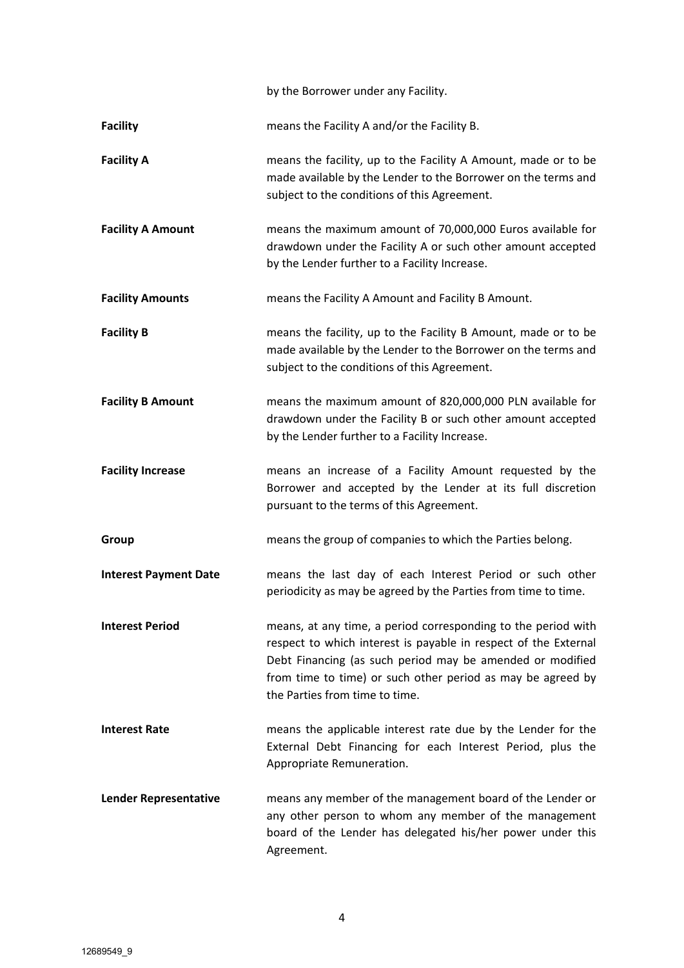by the Borrower under any Facility.

**Facility** means the Facility A and/or the Facility B.

- **Facility A** means the facility, up to the Facility A Amount, made or to be made available by the Lender to the Borrower on the terms and subject to the conditions of this Agreement.
- **Facility A Amount** means the maximum amount of 70,000,000 Euros available for drawdown under the Facility A or such other amount accepted by the Lender further to a Facility Increase.
- **Facility Amounts** means the Facility A Amount and Facility B Amount.
- **Facility B** means the facility, up to the Facility B Amount, made or to be made available by the Lender to the Borrower on the terms and subject to the conditions of this Agreement.
- **Facility B Amount** means the maximum amount of 820,000,000 PLN available for drawdown under the Facility B or such other amount accepted by the Lender further to a Facility Increase.
- **Facility Increase** means an increase of a Facility Amount requested by the Borrower and accepted by the Lender at its full discretion pursuant to the terms of this Agreement.
- **Group means the group of companies to which the Parties belong.**
- **Interest Payment Date** means the last day of each Interest Period or such other periodicity as may be agreed by the Parties from time to time.
- **Interest Period** means, at any time, a period corresponding to the period with respect to which interest is payable in respect of the External Debt Financing (as such period may be amended or modified from time to time) or such other period as may be agreed by the Parties from time to time.
- **Interest Rate** means the applicable interest rate due by the Lender for the External Debt Financing for each Interest Period, plus the Appropriate Remuneration.
- **Lender Representative** means any member of the management board of the Lender or any other person to whom any member of the management board of the Lender has delegated his/her power under this Agreement.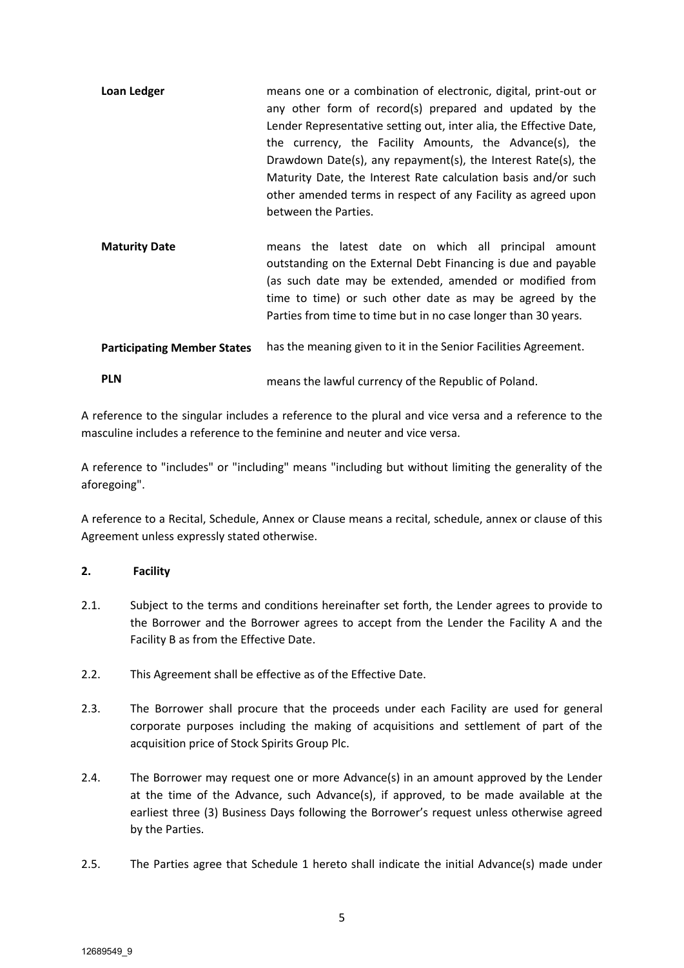- **Loan Ledger means one or a combination of electronic, digital, print-out or** any other form of record(s) prepared and updated by the Lender Representative setting out, inter alia, the Effective Date, the currency, the Facility Amounts, the Advance(s), the Drawdown Date(s), any repayment(s), the Interest Rate(s), the Maturity Date, the Interest Rate calculation basis and/or such other amended terms in respect of any Facility as agreed upon between the Parties.
- **Maturity Date**  means the latest date on which all principal amount outstanding on the External Debt Financing is due and payable (as such date may be extended, amended or modified from time to time) or such other date as may be agreed by the Parties from time to time but in no case longer than 30 years.

**Participating Member States**  has the meaning given to it in the Senior Facilities Agreement.

A reference to the singular includes a reference to the plural and vice versa and a reference to the masculine includes a reference to the feminine and neuter and vice versa.

A reference to "includes" or "including" means "including but without limiting the generality of the aforegoing".

A reference to a Recital, Schedule, Annex or Clause means a recital, schedule, annex or clause of this Agreement unless expressly stated otherwise.

### **2. Facility**

- 2.1. Subject to the terms and conditions hereinafter set forth, the Lender agrees to provide to the Borrower and the Borrower agrees to accept from the Lender the Facility A and the Facility B as from the Effective Date.
- 2.2. This Agreement shall be effective as of the Effective Date.
- 2.3. The Borrower shall procure that the proceeds under each Facility are used for general corporate purposes including the making of acquisitions and settlement of part of the acquisition price of Stock Spirits Group Plc.
- 2.4. The Borrower may request one or more Advance(s) in an amount approved by the Lender at the time of the Advance, such Advance(s), if approved, to be made available at the earliest three (3) Business Days following the Borrower's request unless otherwise agreed by the Parties.
- 2.5. The Parties agree that Schedule 1 hereto shall indicate the initial Advance(s) made under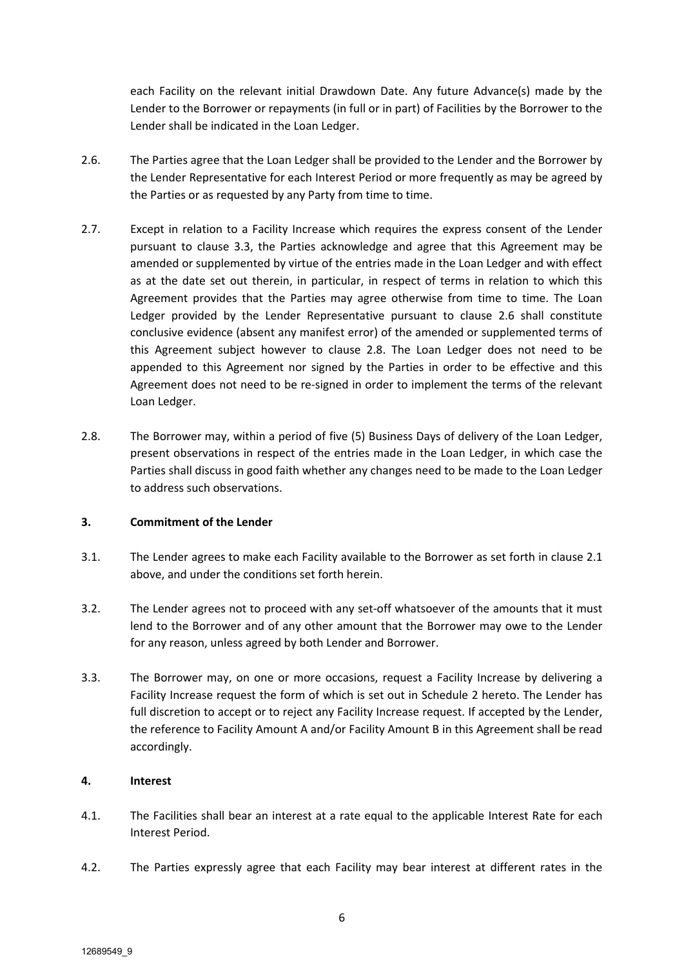each Facility on the relevant initial Drawdown Date. Any future Advance(s) made by the Lender to the Borrower or repayments (in full or in part) of Facilities by the Borrower to the Lender shall be indicated in the Loan Ledger.

- 2.6. The Parties agree that the Loan Ledger shall be provided to the Lender and the Borrower by the Lender Representative for each Interest Period or more frequently as may be agreed by the Parties or as requested by any Party from time to time.
- 2.7. Except in relation to a Facility Increase which requires the express consent of the Lender pursuant to clause 3.3, the Parties acknowledge and agree that this Agreement may be amended or supplemented by virtue of the entries made in the Loan Ledger and with effect as at the date set out therein, in particular, in respect of terms in relation to which this Agreement provides that the Parties may agree otherwise from time to time. The Loan Ledger provided by the Lender Representative pursuant to clause 2.6 shall constitute conclusive evidence (absent any manifest error) of the amended or supplemented terms of this Agreement subject however to clause 2.8. The Loan Ledger does not need to be appended to this Agreement nor signed by the Parties in order to be effective and this Agreement does not need to be re-signed in order to implement the terms of the relevant Loan Ledger.
- 2.8. The Borrower may, within a period of five (5) Business Days of delivery of the Loan Ledger, present observations in respect of the entries made in the Loan Ledger, in which case the Parties shall discuss in good faith whether any changes need to be made to the Loan Ledger to address such observations.

### **3. Commitment of the Lender**

- 3.1. The Lender agrees to make each Facility available to the Borrower as set forth in clause 2.1 above, and under the conditions set forth herein.
- 3.2. The Lender agrees not to proceed with any set-off whatsoever of the amounts that it must lend to the Borrower and of any other amount that the Borrower may owe to the Lender for any reason, unless agreed by both Lender and Borrower.
- 3.3. The Borrower may, on one or more occasions, request a Facility Increase by delivering a Facility Increase request the form of which is set out in Schedule 2 hereto. The Lender has full discretion to accept or to reject any Facility Increase request. If accepted by the Lender, the reference to Facility Amount A and/or Facility Amount B in this Agreement shall be read accordingly.

### **4. Interest**

- 4.1. The Facilities shall bear an interest at a rate equal to the applicable Interest Rate for each Interest Period.
- 4.2. The Parties expressly agree that each Facility may bear interest at different rates in the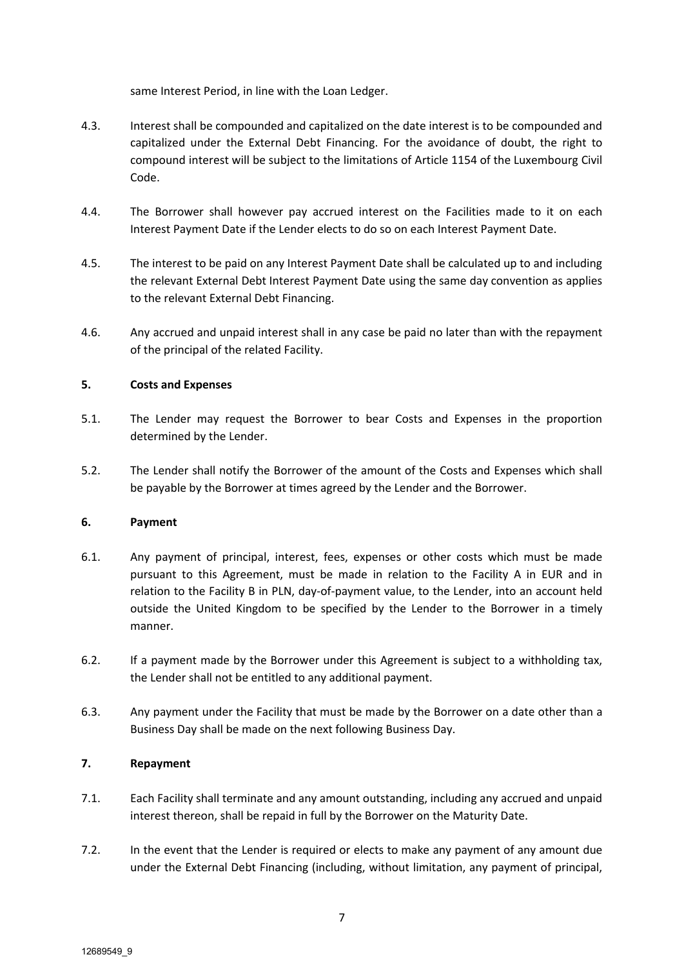same Interest Period, in line with the Loan Ledger.

- 4.3. Interest shall be compounded and capitalized on the date interest is to be compounded and capitalized under the External Debt Financing. For the avoidance of doubt, the right to compound interest will be subject to the limitations of Article 1154 of the Luxembourg Civil Code.
- 4.4. The Borrower shall however pay accrued interest on the Facilities made to it on each Interest Payment Date if the Lender elects to do so on each Interest Payment Date.
- 4.5. The interest to be paid on any Interest Payment Date shall be calculated up to and including the relevant External Debt Interest Payment Date using the same day convention as applies to the relevant External Debt Financing.
- 4.6. Any accrued and unpaid interest shall in any case be paid no later than with the repayment of the principal of the related Facility.

### **5. Costs and Expenses**

- 5.1. The Lender may request the Borrower to bear Costs and Expenses in the proportion determined by the Lender.
- 5.2. The Lender shall notify the Borrower of the amount of the Costs and Expenses which shall be payable by the Borrower at times agreed by the Lender and the Borrower.

## **6. Payment**

- 6.1. Any payment of principal, interest, fees, expenses or other costs which must be made pursuant to this Agreement, must be made in relation to the Facility A in EUR and in relation to the Facility B in PLN, day-of-payment value, to the Lender, into an account held outside the United Kingdom to be specified by the Lender to the Borrower in a timely manner.
- 6.2. If a payment made by the Borrower under this Agreement is subject to a withholding tax, the Lender shall not be entitled to any additional payment.
- 6.3. Any payment under the Facility that must be made by the Borrower on a date other than a Business Day shall be made on the next following Business Day.

## **7. Repayment**

- 7.1. Each Facility shall terminate and any amount outstanding, including any accrued and unpaid interest thereon, shall be repaid in full by the Borrower on the Maturity Date.
- 7.2. In the event that the Lender is required or elects to make any payment of any amount due under the External Debt Financing (including, without limitation, any payment of principal,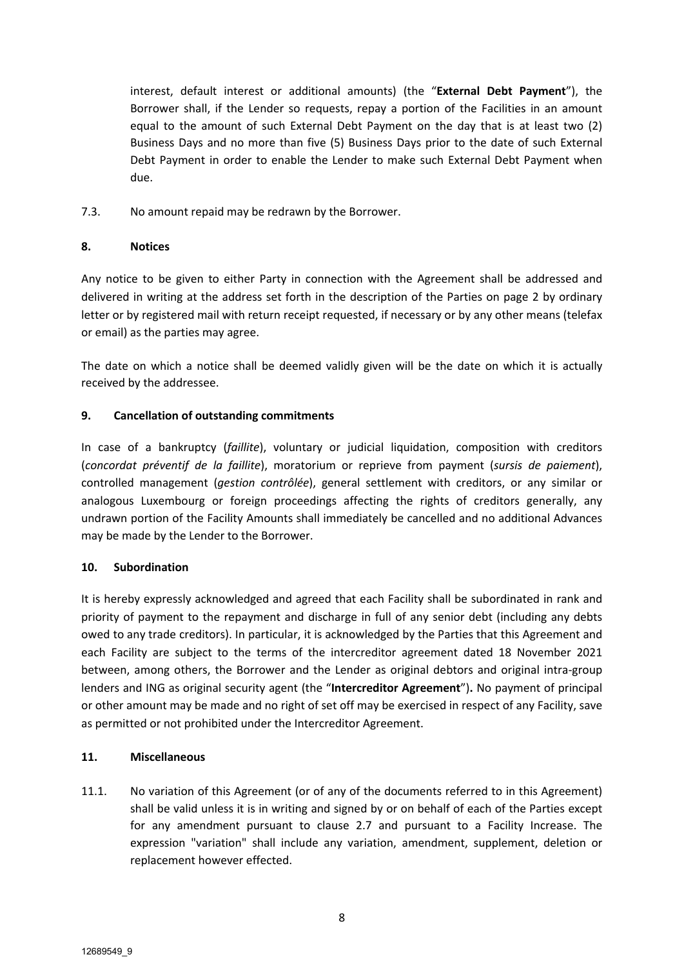interest, default interest or additional amounts) (the "**External Debt Payment**"), the Borrower shall, if the Lender so requests, repay a portion of the Facilities in an amount equal to the amount of such External Debt Payment on the day that is at least two (2) Business Days and no more than five (5) Business Days prior to the date of such External Debt Payment in order to enable the Lender to make such External Debt Payment when due.

7.3. No amount repaid may be redrawn by the Borrower.

### **8. Notices**

Any notice to be given to either Party in connection with the Agreement shall be addressed and delivered in writing at the address set forth in the description of the Parties on page 2 by ordinary letter or by registered mail with return receipt requested, if necessary or by any other means (telefax or email) as the parties may agree.

The date on which a notice shall be deemed validly given will be the date on which it is actually received by the addressee.

### **9. Cancellation of outstanding commitments**

In case of a bankruptcy (*faillite*), voluntary or judicial liquidation, composition with creditors (*concordat préventif de la faillite*), moratorium or reprieve from payment (*sursis de paiement*), controlled management (*gestion contrôlée*), general settlement with creditors, or any similar or analogous Luxembourg or foreign proceedings affecting the rights of creditors generally, any undrawn portion of the Facility Amounts shall immediately be cancelled and no additional Advances may be made by the Lender to the Borrower.

### **10. Subordination**

It is hereby expressly acknowledged and agreed that each Facility shall be subordinated in rank and priority of payment to the repayment and discharge in full of any senior debt (including any debts owed to any trade creditors). In particular, it is acknowledged by the Parties that this Agreement and each Facility are subject to the terms of the intercreditor agreement dated 18 November 2021 between, among others, the Borrower and the Lender as original debtors and original intra-group lenders and ING as original security agent (the "**Intercreditor Agreement**")**.** No payment of principal or other amount may be made and no right of set off may be exercised in respect of any Facility, save as permitted or not prohibited under the Intercreditor Agreement.

### **11. Miscellaneous**

11.1. No variation of this Agreement (or of any of the documents referred to in this Agreement) shall be valid unless it is in writing and signed by or on behalf of each of the Parties except for any amendment pursuant to clause 2.7 and pursuant to a Facility Increase. The expression "variation" shall include any variation, amendment, supplement, deletion or replacement however effected.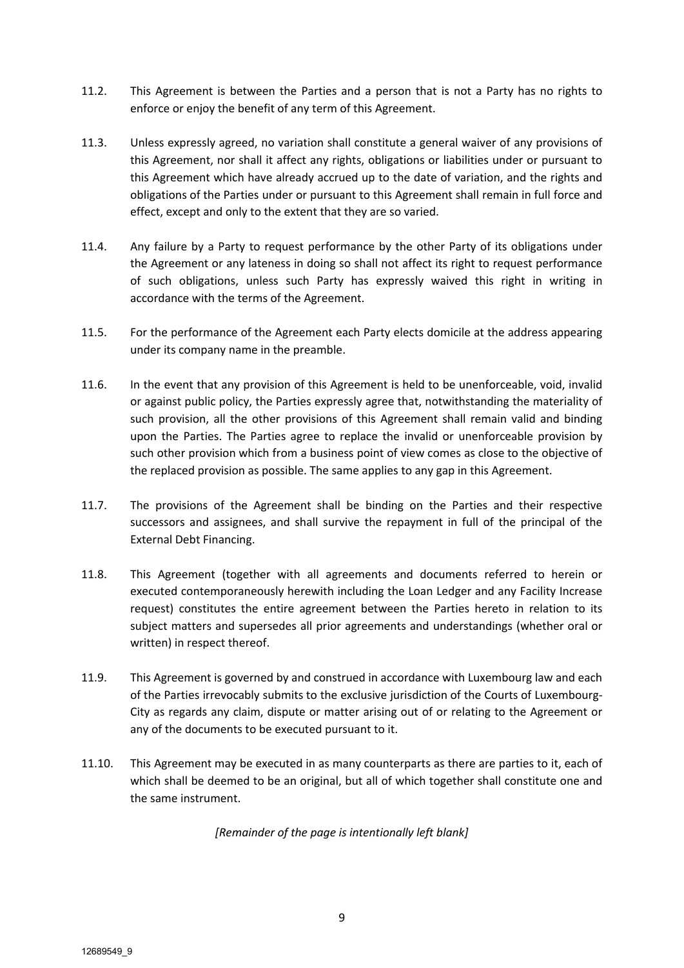- 11.2. This Agreement is between the Parties and a person that is not a Party has no rights to enforce or enjoy the benefit of any term of this Agreement.
- 11.3. Unless expressly agreed, no variation shall constitute a general waiver of any provisions of this Agreement, nor shall it affect any rights, obligations or liabilities under or pursuant to this Agreement which have already accrued up to the date of variation, and the rights and obligations of the Parties under or pursuant to this Agreement shall remain in full force and effect, except and only to the extent that they are so varied.
- 11.4. Any failure by a Party to request performance by the other Party of its obligations under the Agreement or any lateness in doing so shall not affect its right to request performance of such obligations, unless such Party has expressly waived this right in writing in accordance with the terms of the Agreement.
- 11.5. For the performance of the Agreement each Party elects domicile at the address appearing under its company name in the preamble.
- 11.6. In the event that any provision of this Agreement is held to be unenforceable, void, invalid or against public policy, the Parties expressly agree that, notwithstanding the materiality of such provision, all the other provisions of this Agreement shall remain valid and binding upon the Parties. The Parties agree to replace the invalid or unenforceable provision by such other provision which from a business point of view comes as close to the objective of the replaced provision as possible. The same applies to any gap in this Agreement.
- 11.7. The provisions of the Agreement shall be binding on the Parties and their respective successors and assignees, and shall survive the repayment in full of the principal of the External Debt Financing.
- 11.8. This Agreement (together with all agreements and documents referred to herein or executed contemporaneously herewith including the Loan Ledger and any Facility Increase request) constitutes the entire agreement between the Parties hereto in relation to its subject matters and supersedes all prior agreements and understandings (whether oral or written) in respect thereof.
- 11.9. This Agreement is governed by and construed in accordance with Luxembourg law and each of the Parties irrevocably submits to the exclusive jurisdiction of the Courts of Luxembourg-City as regards any claim, dispute or matter arising out of or relating to the Agreement or any of the documents to be executed pursuant to it.
- 11.10. This Agreement may be executed in as many counterparts as there are parties to it, each of which shall be deemed to be an original, but all of which together shall constitute one and the same instrument.

*[Remainder of the page is intentionally left blank]*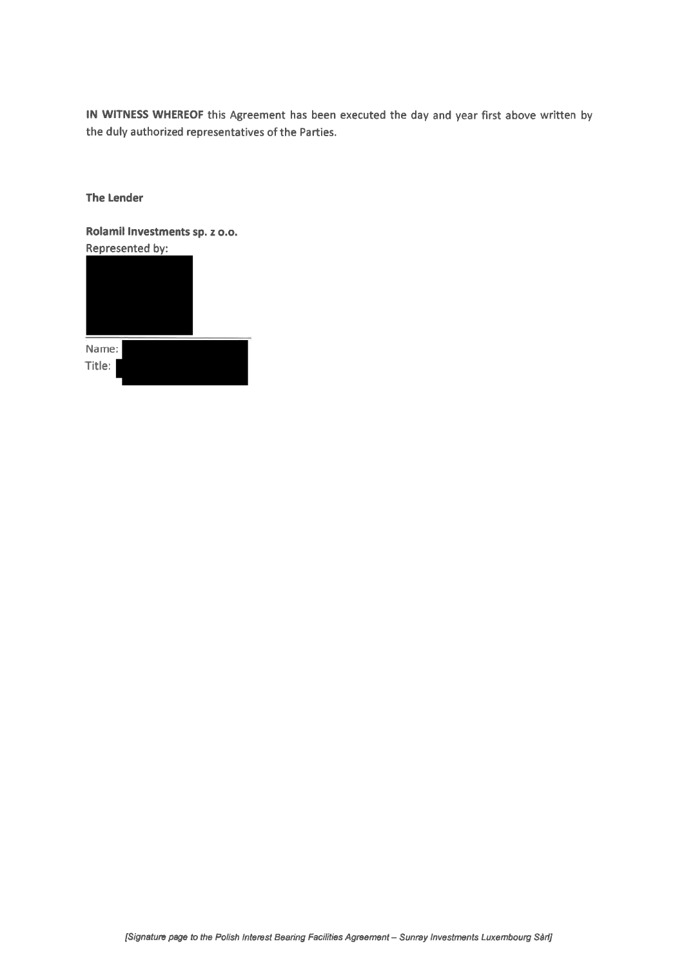IN WITNESS WHEREOF this Agreement has been executed the day and year first above written by the duly authorized representatives of the Parties.

**The Lender** 

Rolamil Investments sp. z o.o. Represented by:



| Name:  |  |  |
|--------|--|--|
| Title: |  |  |
|        |  |  |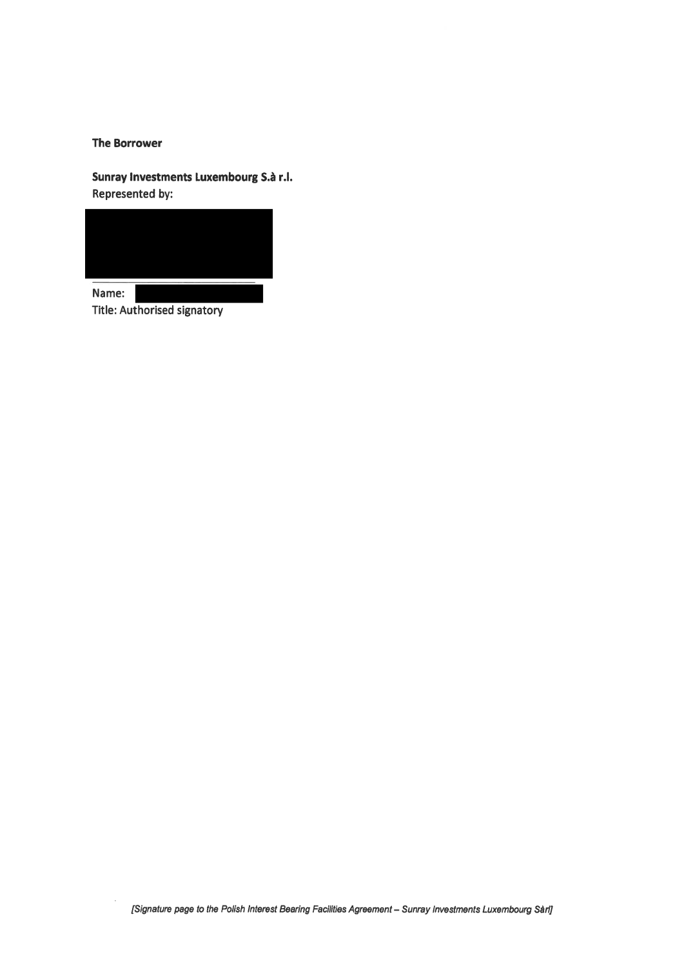#### **The Borrower**

Sunray Investments Luxembourg S.à r.l. Represented by:



Name: Title: Authorised signatory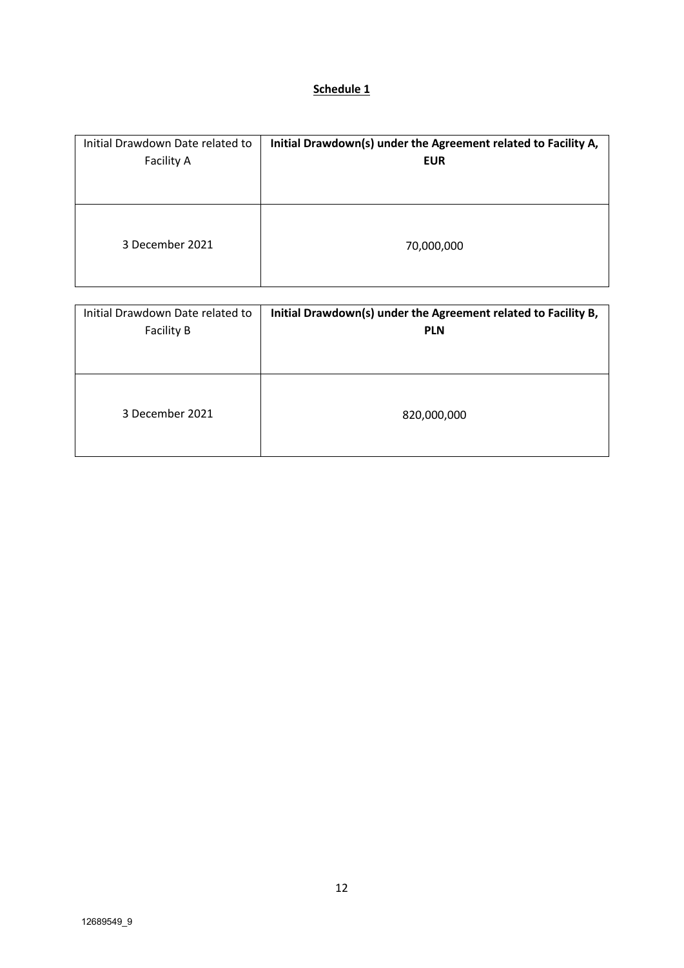# **Schedule 1**

| Initial Drawdown Date related to | Initial Drawdown(s) under the Agreement related to Facility A, |
|----------------------------------|----------------------------------------------------------------|
| <b>Facility A</b>                | <b>EUR</b>                                                     |
| 3 December 2021                  | 70,000,000                                                     |

| Initial Drawdown Date related to | Initial Drawdown(s) under the Agreement related to Facility B, |
|----------------------------------|----------------------------------------------------------------|
| <b>Facility B</b>                | <b>PLN</b>                                                     |
| 3 December 2021                  | 820,000,000                                                    |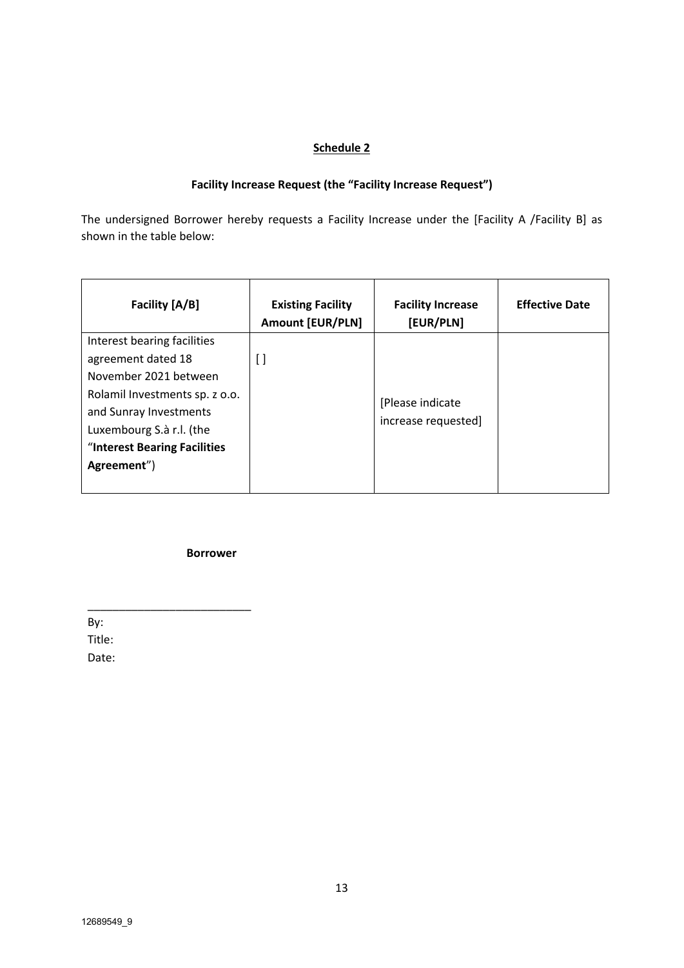# **Schedule 2**

# **Facility Increase Request (the "Facility Increase Request")**

The undersigned Borrower hereby requests a Facility Increase under the [Facility A /Facility B] as shown in the table below:

| Facility [A/B]                 | <b>Existing Facility</b><br><b>Amount [EUR/PLN]</b> | <b>Facility Increase</b><br>[EUR/PLN] | <b>Effective Date</b> |
|--------------------------------|-----------------------------------------------------|---------------------------------------|-----------------------|
| Interest bearing facilities    |                                                     |                                       |                       |
| agreement dated 18             | $\Box$                                              |                                       |                       |
| November 2021 between          |                                                     |                                       |                       |
| Rolamil Investments sp. z o.o. |                                                     | [Please indicate                      |                       |
| and Sunray Investments         |                                                     | increase requested]                   |                       |
| Luxembourg S.à r.l. (the       |                                                     |                                       |                       |
| "Interest Bearing Facilities   |                                                     |                                       |                       |
| Agreement")                    |                                                     |                                       |                       |
|                                |                                                     |                                       |                       |

**Borrower**

\_\_\_\_\_\_\_\_\_\_\_\_\_\_\_\_\_\_\_\_\_\_\_\_\_\_

By: Title: Date: